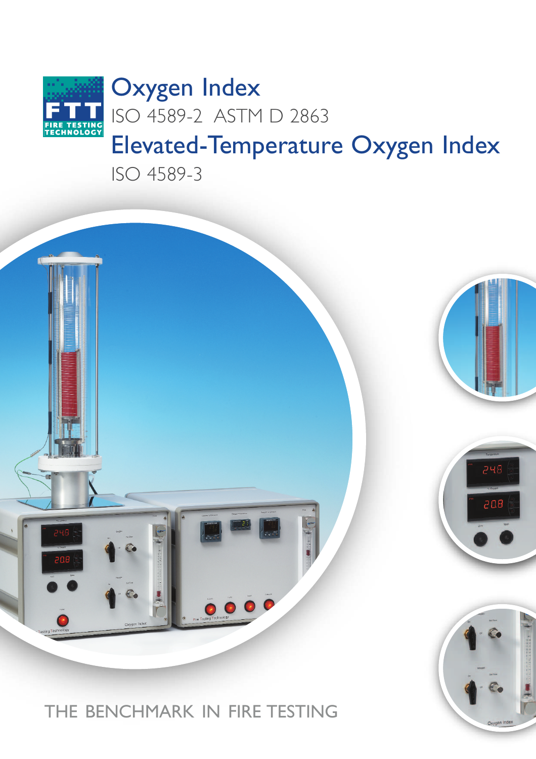

ISO 4589-3



THE BENCHMARK IN FIRE TESTING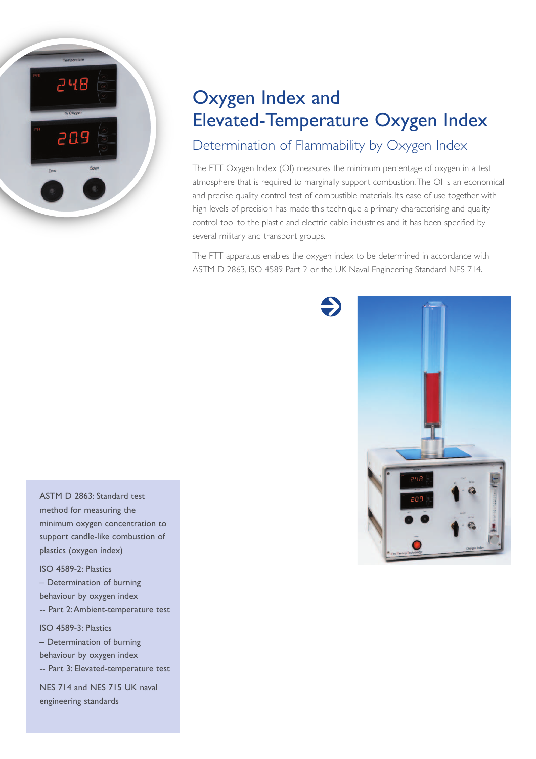

## Oxygen Index and Elevated-Temperature Oxygen Index Determination of Flammability by Oxygen Index

The FTT Oxygen Index (OI) measures the minimum percentage of oxygen in a test atmosphere that is required to marginally support combustion.The OI is an economical and precise quality control test of combustible materials. Its ease of use together with high levels of precision has made this technique a primary characterising and quality control tool to the plastic and electric cable industries and it has been specified by several military and transport groups.

The FTT apparatus enables the oxygen index to be determined in accordance with ASTM D 2863, ISO 4589 Part 2 or the UK Naval Engineering Standard NES 714.



ASTM D 2863: Standard test method for measuring the minimum oxygen concentration to support candle-like combustion of plastics (oxygen index)

ISO 4589-2: Plastics – Determination of burning behaviour by oxygen index -- Part 2:Ambient-temperature test ISO 4589-3: Plastics – Determination of burning

behaviour by oxygen index -- Part 3: Elevated-temperature test NES 714 and NES 715 UK naval engineering standards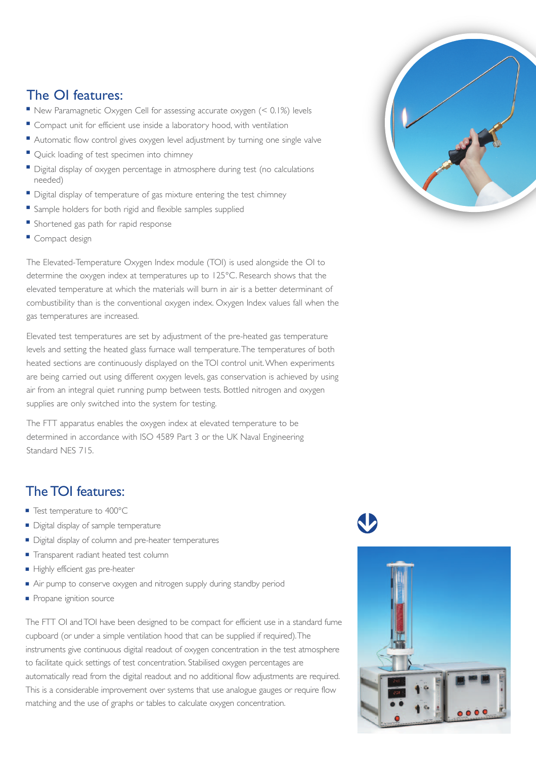## The OI features:

- New Paramagnetic Oxygen Cell for assessing accurate oxygen (< 0.1%) levels
- Compact unit for efficient use inside a laboratory hood, with ventilation
- Automatic flow control gives oxygen level adjustment by turning one single valve
- Quick loading of test specimen into chimney
- Digital display of oxygen percentage in atmosphere during test (no calculations needed)
- Digital display of temperature of gas mixture entering the test chimney
- Sample holders for both rigid and flexible samples supplied
- Shortened gas path for rapid response
- Compact design

The Elevated-Temperature Oxygen Index module (TOI) is used alongside the OI to determine the oxygen index at temperatures up to 125°C. Research shows that the elevated temperature at which the materials will burn in air is a better determinant of combustibility than is the conventional oxygen index. Oxygen Index values fall when the gas temperatures are increased.

Elevated test temperatures are set by adjustment of the pre-heated gas temperature levels and setting the heated glass furnace wall temperature.The temperatures of both heated sections are continuously displayed on the TOI control unit.When experiments are being carried out using different oxygen levels, gas conservation is achieved by using air from an integral quiet running pump between tests. Bottled nitrogen and oxygen supplies are only switched into the system for testing.

The FTT apparatus enables the oxygen index at elevated temperature to be determined in accordance with ISO 4589 Part 3 or the UK Naval Engineering Standard NES 715.

## The TOI features:

- Test temperature to 400°C
- Digital display of sample temperature
- Digital display of column and pre-heater temperatures
- Transparent radiant heated test column
- Highly efficient gas pre-heater
- Air pump to conserve oxygen and nitrogen supply during standby period
- Propane ignition source

The FTT OI and TOI have been designed to be compact for efficient use in a standard fume cupboard (or under a simple ventilation hood that can be supplied if required).The instruments give continuous digital readout of oxygen concentration in the test atmosphere to facilitate quick settings of test concentration. Stabilised oxygen percentages are automatically read from the digital readout and no additional flow adjustments are required. This is a considerable improvement over systems that use analogue gauges or require flow matching and the use of graphs or tables to calculate oxygen concentration.